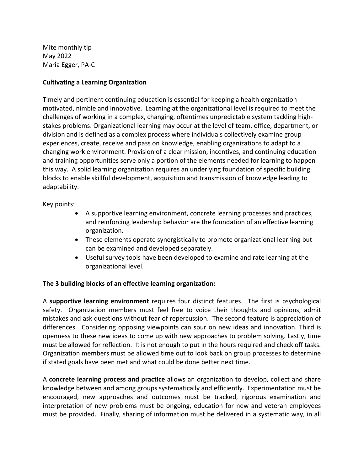Mite monthly tip May 2022 Maria Egger, PA-C

## **Cultivating a Learning Organization**

Timely and pertinent continuing education is essential for keeping a health organization motivated, nimble and innovative. Learning at the organizational level is required to meet the challenges of working in a complex, changing, oftentimes unpredictable system tackling highstakes problems. Organizational learning may occur at the level of team, office, department, or division and is defined as a complex process where individuals collectively examine group experiences, create, receive and pass on knowledge, enabling organizations to adapt to a changing work environment. Provision of a clear mission, incentives, and continuing education and training opportunities serve only a portion of the elements needed for learning to happen this way. A solid learning organization requires an underlying foundation of specific building blocks to enable skillful development, acquisition and transmission of knowledge leading to adaptability.

Key points:

- A supportive learning environment, concrete learning processes and practices, and reinforcing leadership behavior are the foundation of an effective learning organization.
- These elements operate synergistically to promote organizational learning but can be examined and developed separately.
- Useful survey tools have been developed to examine and rate learning at the organizational level.

## **The 3 building blocks of an effective learning organization:**

A **supportive learning environment** requires four distinct features. The first is psychological safety. Organization members must feel free to voice their thoughts and opinions, admit mistakes and ask questions without fear of repercussion. The second feature is appreciation of differences. Considering opposing viewpoints can spur on new ideas and innovation. Third is openness to these new ideas to come up with new approaches to problem solving. Lastly, time must be allowed for reflection. It is not enough to put in the hours required and check off tasks. Organization members must be allowed time out to look back on group processes to determine if stated goals have been met and what could be done better next time.

A **concrete learning process and practice** allows an organization to develop, collect and share knowledge between and among groups systematically and efficiently. Experimentation must be encouraged, new approaches and outcomes must be tracked, rigorous examination and interpretation of new problems must be ongoing, education for new and veteran employees must be provided. Finally, sharing of information must be delivered in a systematic way, in all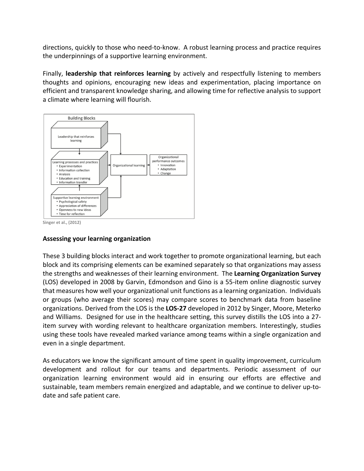directions, quickly to those who need-to-know. A robust learning process and practice requires the underpinnings of a supportive learning environment.

Finally, **leadership that reinforces learning** by actively and respectfully listening to members thoughts and opinions, encouraging new ideas and experimentation, placing importance on efficient and transparent knowledge sharing, and allowing time for reflective analysis to support a climate where learning will flourish.



**Singer et al., (2012)**

## **Assessing your learning organization**

These 3 building blocks interact and work together to promote organizational learning, but each block and its comprising elements can be examined separately so that organizations may assess the strengths and weaknesses of their learning environment. The **Learning Organization Survey**  (LOS) developed in 2008 by Garvin, Edmondson and Gino is a 55-item online diagnostic survey that measures how well your organizational unit functions as a learning organization. Individuals or groups (who average their scores) may compare scores to benchmark data from baseline organizations. Derived from the LOS is the **LOS-27** developed in 2012 by Singer, Moore, Meterko and Williams. Designed for use in the healthcare setting, this survey distills the LOS into a 27 item survey with wording relevant to healthcare organization members. Interestingly, studies using these tools have revealed marked variance among teams within a single organization and even in a single department.

As educators we know the significant amount of time spent in quality improvement, curriculum development and rollout for our teams and departments. Periodic assessment of our organization learning environment would aid in ensuring our efforts are effective and sustainable, team members remain energized and adaptable, and we continue to deliver up-todate and safe patient care.